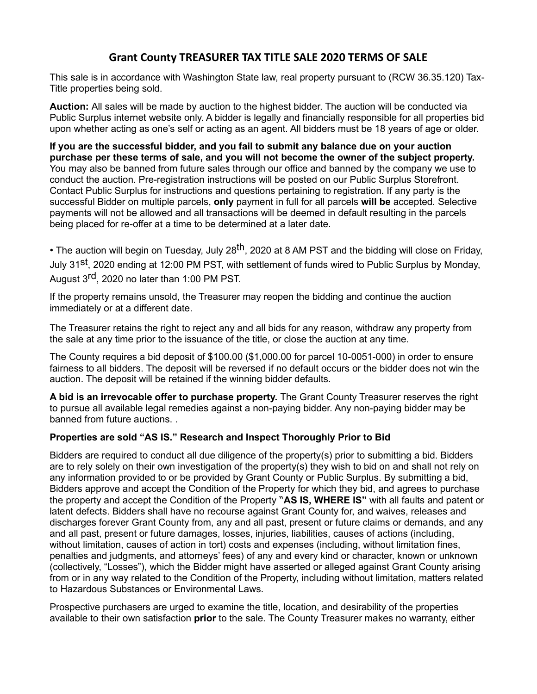## **Grant County TREASURER TAX TITLE SALE 2020 TERMS OF SALE**

This sale is in accordance with Washington State law, real property pursuant to (RCW 36.35.120) Tax-Title properties being sold.

**Auction:** All sales will be made by auction to the highest bidder. The auction will be conducted via Public Surplus internet website only. A bidder is legally and financially responsible for all properties bid upon whether acting as one's self or acting as an agent. All bidders must be 18 years of age or older.

**If you are the successful bidder, and you fail to submit any balance due on your auction purchase per these terms of sale, and you will not become the owner of the subject property.**  You may also be banned from future sales through our office and banned by the company we use to conduct the auction. Pre-registration instructions will be posted on our Public Surplus Storefront. Contact Public Surplus for instructions and questions pertaining to registration. If any party is the successful Bidder on multiple parcels, **only** payment in full for all parcels **will be** accepted. Selective payments will not be allowed and all transactions will be deemed in default resulting in the parcels being placed for re-offer at a time to be determined at a later date.

• The auction will begin on Tuesday, July 28<sup>th</sup>, 2020 at 8 AM PST and the bidding will close on Friday, July 31<sup>st</sup>, 2020 ending at 12:00 PM PST, with settlement of funds wired to Public Surplus by Monday, August 3<sup>rd</sup>, 2020 no later than 1:00 PM PST.

If the property remains unsold, the Treasurer may reopen the bidding and continue the auction immediately or at a different date.

The Treasurer retains the right to reject any and all bids for any reason, withdraw any property from the sale at any time prior to the issuance of the title, or close the auction at any time.

The County requires a bid deposit of \$100.00 (\$1,000.00 for parcel 10-0051-000) in order to ensure fairness to all bidders. The deposit will be reversed if no default occurs or the bidder does not win the auction. The deposit will be retained if the winning bidder defaults.

**A bid is an irrevocable offer to purchase property.** The Grant County Treasurer reserves the right to pursue all available legal remedies against a non-paying bidder. Any non-paying bidder may be banned from future auctions. .

## **Properties are sold "AS IS." Research and Inspect Thoroughly Prior to Bid**

Bidders are required to conduct all due diligence of the property(s) prior to submitting a bid. Bidders are to rely solely on their own investigation of the property(s) they wish to bid on and shall not rely on any information provided to or be provided by Grant County or Public Surplus. By submitting a bid, Bidders approve and accept the Condition of the Property for which they bid, and agrees to purchase the property and accept the Condition of the Property "**AS IS, WHERE IS"** with all faults and patent or latent defects. Bidders shall have no recourse against Grant County for, and waives, releases and discharges forever Grant County from, any and all past, present or future claims or demands, and any and all past, present or future damages, losses, injuries, liabilities, causes of actions (including, without limitation, causes of action in tort) costs and expenses (including, without limitation fines, penalties and judgments, and attorneys' fees) of any and every kind or character, known or unknown (collectively, "Losses"), which the Bidder might have asserted or alleged against Grant County arising from or in any way related to the Condition of the Property, including without limitation, matters related to Hazardous Substances or Environmental Laws.

Prospective purchasers are urged to examine the title, location, and desirability of the properties available to their own satisfaction **prior** to the sale. The County Treasurer makes no warranty, either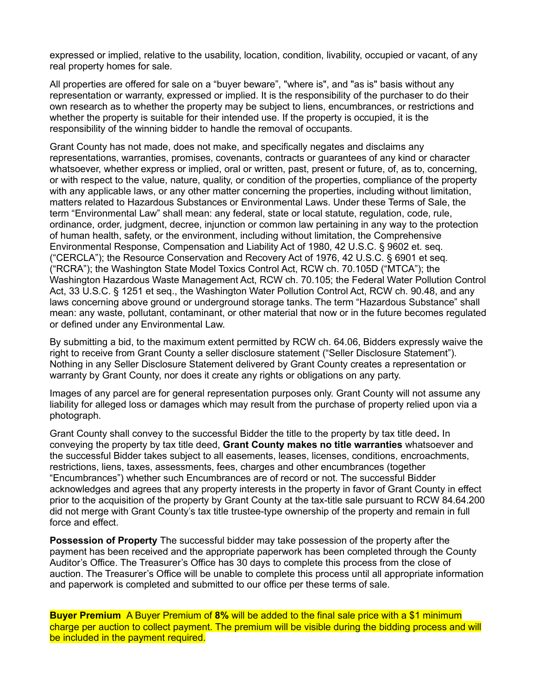expressed or implied, relative to the usability, location, condition, livability, occupied or vacant, of any real property homes for sale.

All properties are offered for sale on a "buyer beware", "where is", and "as is" basis without any representation or warranty, expressed or implied. It is the responsibility of the purchaser to do their own research as to whether the property may be subject to liens, encumbrances, or restrictions and whether the property is suitable for their intended use. If the property is occupied, it is the responsibility of the winning bidder to handle the removal of occupants.

Grant County has not made, does not make, and specifically negates and disclaims any representations, warranties, promises, covenants, contracts or guarantees of any kind or character whatsoever, whether express or implied, oral or written, past, present or future, of, as to, concerning, or with respect to the value, nature, quality, or condition of the properties, compliance of the property with any applicable laws, or any other matter concerning the properties, including without limitation, matters related to Hazardous Substances or Environmental Laws. Under these Terms of Sale, the term "Environmental Law" shall mean: any federal, state or local statute, regulation, code, rule, ordinance, order, judgment, decree, injunction or common law pertaining in any way to the protection of human health, safety, or the environment, including without limitation, the Comprehensive Environmental Response, Compensation and Liability Act of 1980, 42 U.S.C. § 9602 et. seq. ("CERCLA"); the Resource Conservation and Recovery Act of 1976, 42 U.S.C. § 6901 et seq. ("RCRA"); the Washington State Model Toxics Control Act, RCW ch. 70.105D ("MTCA"); the Washington Hazardous Waste Management Act, RCW ch. 70.105; the Federal Water Pollution Control Act, 33 U.S.C. § 1251 et seq., the Washington Water Pollution Control Act, RCW ch. 90.48, and any laws concerning above ground or underground storage tanks. The term "Hazardous Substance" shall mean: any waste, pollutant, contaminant, or other material that now or in the future becomes regulated or defined under any Environmental Law.

By submitting a bid, to the maximum extent permitted by RCW ch. 64.06, Bidders expressly waive the right to receive from Grant County a seller disclosure statement ("Seller Disclosure Statement"). Nothing in any Seller Disclosure Statement delivered by Grant County creates a representation or warranty by Grant County, nor does it create any rights or obligations on any party.

Images of any parcel are for general representation purposes only. Grant County will not assume any liability for alleged loss or damages which may result from the purchase of property relied upon via a photograph.

Grant County shall convey to the successful Bidder the title to the property by tax title deed**.** In conveying the property by tax title deed, **Grant County makes no title warranties** whatsoever and the successful Bidder takes subject to all easements, leases, licenses, conditions, encroachments, restrictions, liens, taxes, assessments, fees, charges and other encumbrances (together "Encumbrances") whether such Encumbrances are of record or not. The successful Bidder acknowledges and agrees that any property interests in the property in favor of Grant County in effect prior to the acquisition of the property by Grant County at the tax-title sale pursuant to RCW 84.64.200 did not merge with Grant County's tax title trustee-type ownership of the property and remain in full force and effect.

**Possession of Property** The successful bidder may take possession of the property after the payment has been received and the appropriate paperwork has been completed through the County Auditor's Office. The Treasurer's Office has 30 days to complete this process from the close of auction. The Treasurer's Office will be unable to complete this process until all appropriate information and paperwork is completed and submitted to our office per these terms of sale.

**Buyer Premium** A Buyer Premium of **8%** will be added to the final sale price with a \$1 minimum charge per auction to collect payment. The premium will be visible during the bidding process and will be included in the payment required.